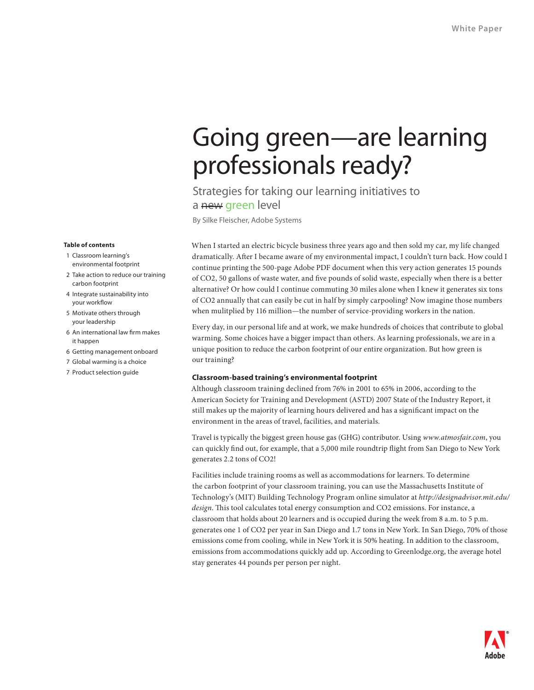# Going green—are learning professionals ready?

Strategies for taking our learning initiatives to a new green level

By Silke Fleischer, Adobe Systems

When I started an electric bicycle business three years ago and then sold my car, my life changed dramatically. After I became aware of my environmental impact, I couldn't turn back. How could I continue printing the 500-page Adobe PDF document when this very action generates 15 pounds of CO2, 50 gallons of waste water, and five pounds of solid waste, especially when there is a better alternative? Or how could I continue commuting 30 miles alone when I knew it generates six tons of CO2 annually that can easily be cut in half by simply carpooling? Now imagine those numbers when mulitplied by 116 million—the number of service-providing workers in the nation.

Every day, in our personal life and at work, we make hundreds of choices that contribute to global warming. Some choices have a bigger impact than others. As learning professionals, we are in a unique position to reduce the carbon footprint of our entire organization. But how green is our training?

## **Classroom-based training's environmental footprint**

Although classroom training declined from 76% in 2001 to 65% in 2006, according to the American Society for Training and Development (ASTD) 2007 State of the Industry Report, it still makes up the majority of learning hours delivered and has a significant impact on the environment in the areas of travel, facilities, and materials.

Travel is typically the biggest green house gas (GHG) contributor. Using *www.atmosfair.com*, you can quickly find out, for example, that a 5,000 mile roundtrip flight from San Diego to New York generates 2.2 tons of CO2!

Facilities include training rooms as well as accommodations for learners. To determine the carbon footprint of your classroom training, you can use the Massachusetts Institute of Technology's (MIT) Building Technology Program online simulator at *http://designadvisor.mit.edu/ design*. This tool calculates total energy consumption and CO2 emissions. For instance, a classroom that holds about 20 learners and is occupied during the week from 8 a.m. to 5 p.m. generates one 1 of CO2 per year in San Diego and 1.7 tons in New York. In San Diego, 70% of those emissions come from cooling, while in New York it is 50% heating. In addition to the classroom, emissions from accommodations quickly add up. According to Greenlodge.org, the average hotel stay generates 44 pounds per person per night.

#### **Table of contents**

- 1 Classroom learning's environmental footprint
- 2 Take action to reduce our training carbon footprint
- 4 Integrate sustainability into your workflow
- 5 Motivate others through your leadership
- 6 An international law firm makes it happen
- 6 Getting management onboard
- 7 Global warming is a choice
- 7 Product selection guide

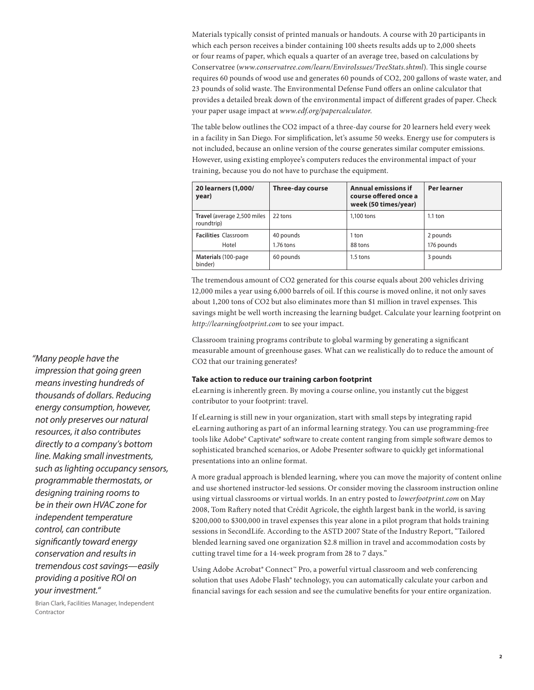Materials typically consist of printed manuals or handouts. A course with 20 participants in which each person receives a binder containing 100 sheets results adds up to 2,000 sheets or four reams of paper, which equals a quarter of an average tree, based on calculations by Conservatree (*www.conservatree.com/learn/EnviroIssues/TreeStats.shtml*). This single course requires 60 pounds of wood use and generates 60 pounds of CO2, 200 gallons of waste water, and 23 pounds of solid waste. The Environmental Defense Fund offers an online calculator that provides a detailed break down of the environmental impact of different grades of paper. Check your paper usage impact at *www.edf.org/papercalculator*.

The table below outlines the CO2 impact of a three-day course for 20 learners held every week in a facility in San Diego. For simplification, let's assume 50 weeks. Energy use for computers is not included, because an online version of the course generates similar computer emissions. However, using existing employee's computers reduces the environmental impact of your training, because you do not have to purchase the equipment.

| 20 learners (1,000/<br>year)              | <b>Three-day course</b> | <b>Annual emissions if</b><br>course offered once a<br>week (50 times/year) | Per learner |
|-------------------------------------------|-------------------------|-----------------------------------------------------------------------------|-------------|
| Travel (average 2,500 miles<br>roundtrip) | 22 tons                 | 1.100 tons                                                                  | $1.1$ ton   |
| <b>Facilities Classroom</b>               | 40 pounds               | 1 ton                                                                       | 2 pounds    |
| Hotel                                     | $1.76$ tons             | 88 tons                                                                     | 176 pounds  |
| Materials (100-page)<br>binder)           | 60 pounds               | $1.5$ tons                                                                  | 3 pounds    |

The tremendous amount of CO2 generated for this course equals about 200 vehicles driving 12,000 miles a year using 6,000 barrels of oil. If this course is moved online, it not only saves about 1,200 tons of CO2 but also eliminates more than \$1 million in travel expenses. This savings might be well worth increasing the learning budget. Calculate your learning footprint on *http://learningfootprint.com* to see your impact.

Classroom training programs contribute to global warming by generating a significant measurable amount of greenhouse gases. What can we realistically do to reduce the amount of CO2 that our training generates?

## **Take action to reduce our training carbon footprint**

eLearning is inherently green. By moving a course online, you instantly cut the biggest contributor to your footprint: travel.

If eLearning is still new in your organization, start with small steps by integrating rapid eLearning authoring as part of an informal learning strategy. You can use programming-free tools like Adobe® Captivate® software to create content ranging from simple software demos to sophisticated branched scenarios, or Adobe Presenter software to quickly get informational presentations into an online format.

A more gradual approach is blended learning, where you can move the majority of content online and use shortened instructor-led sessions. Or consider moving the classroom instruction online using virtual classrooms or virtual worlds. In an entry posted to *lowerfootprint.com* on May 2008, Tom Raftery noted that Crédit Agricole, the eighth largest bank in the world, is saving \$200,000 to \$300,000 in travel expenses this year alone in a pilot program that holds training sessions in SecondLife. According to the ASTD 2007 State of the Industry Report, "Tailored blended learning saved one organization \$2.8 million in travel and accommodation costs by cutting travel time for a 14-week program from 28 to 7 days."

Using Adobe Acrobat® Connect<sup>™</sup> Pro, a powerful virtual classroom and web conferencing solution that uses Adobe Flash® technology, you can automatically calculate your carbon and financial savings for each session and see the cumulative benefits for your entire organization.

*"Many people have the impression that going green means investing hundreds of thousands of dollars. Reducing energy consumption, however, not only preserves our natural resources, it also contributes directly to a company's bottom line. Making small investments, such as lighting occupancy sensors, programmable thermostats, or designing training rooms to be in their own HVAC zone for independent temperature control, can contribute significantly toward energy conservation and results in tremendous cost savings—easily providing a positive ROI on your investment."* 

Brian Clark, Facilities Manager, Independent Contractor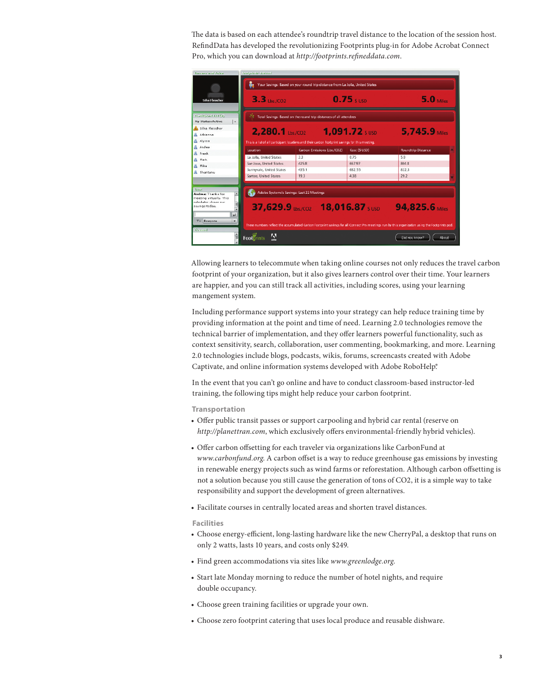The data is based on each attendee's roundtrip travel distance to the location of the session host. RefindData has developed the revolutionizing Footprints plug-in for Adobe Acrobat Connect Pro, which you can download at *http://footprints.refineddata.com*.

| <b>European and Voles</b>                                                                                 | <b>Toolorinks-Libson</b>                                                     |                                                                                                  |               |                                                                                                                                                |       |  |
|-----------------------------------------------------------------------------------------------------------|------------------------------------------------------------------------------|--------------------------------------------------------------------------------------------------|---------------|------------------------------------------------------------------------------------------------------------------------------------------------|-------|--|
|                                                                                                           | Your Savings: Based on your round trip distance from La Jolla, United States |                                                                                                  |               |                                                                                                                                                |       |  |
| Silke Fleischer                                                                                           | $3.3$ Lbs./CO2                                                               |                                                                                                  | $0.75$ s usp  | $5.0$ Miles                                                                                                                                    |       |  |
| Participant fist (9)<br>My Status: Active                                                                 |                                                                              | Total Savings: Based on the round trip distances of all attendees                                |               |                                                                                                                                                |       |  |
| <b>A</b> Silke Fleischer                                                                                  | $2,280.1$ Lbs./CO2                                                           | <b>1,091.72</b> susp                                                                             |               | $5.745.9$ Miles                                                                                                                                |       |  |
| <b>Adrienne</b>                                                                                           |                                                                              |                                                                                                  |               |                                                                                                                                                |       |  |
| <b>Alvesa</b>                                                                                             |                                                                              | This is a list of all participant locations and their carbon footprint savings for this meeting. |               |                                                                                                                                                |       |  |
| <b>B</b> Andrea                                                                                           | Location                                                                     | Carbon Emissions (Lbs./CO2)                                                                      | Cost (\$ USD) | <b>Roundtrip Distance</b>                                                                                                                      |       |  |
| <b>B</b> Frank                                                                                            | La Jolla, United States                                                      | 33                                                                                               | 0.75          | 5.0                                                                                                                                            |       |  |
| <b>B</b> Mark                                                                                             | San Jose, United States                                                      | 425.8                                                                                            | 667.97        | 8048                                                                                                                                           |       |  |
| <b>B</b> Mike                                                                                             | Sunnyvale, United States                                                     | 4351                                                                                             | 682.55        | 8223                                                                                                                                           |       |  |
| <b>8</b> Shantanu                                                                                         | Santee, United States                                                        | 193                                                                                              | 438           | 29.2                                                                                                                                           |       |  |
| that-                                                                                                     | Adobe Systems's Savings: Last 22 Meetings                                    |                                                                                                  |               |                                                                                                                                                |       |  |
| $\overline{ }$<br>Andrea: Thanks for<br>meeting virtually. This<br>calculator shows our<br>savings today. |                                                                              | 37,629.9 Lbs./CO2 18,016.87 S USD                                                                |               | 94,825.6 Miles                                                                                                                                 |       |  |
| $\bullet$<br><b>To: Everyone</b>                                                                          |                                                                              |                                                                                                  |               | These numbers reflect the accumulated Carbon Footprint savings for all Connect Pro meetings run by this organization using the Footprints pod. |       |  |
| Channel                                                                                                   | A<br>Foot rints                                                              |                                                                                                  |               | Did you know?                                                                                                                                  | About |  |

Allowing learners to telecommute when taking online courses not only reduces the travel carbon footprint of your organization, but it also gives learners control over their time. Your learners are happier, and you can still track all activities, including scores, using your learning mangement system.

Including performance support systems into your strategy can help reduce training time by providing information at the point and time of need. Learning 2.0 technologies remove the technical barrier of implementation, and they offer learners powerful functionality, such as context sensitivity, search, collaboration, user commenting, bookmarking, and more. Learning 2.0 technologies include blogs, podcasts, wikis, forums, screencasts created with Adobe Captivate, and online information systems developed with Adobe RoboHelp.®

In the event that you can't go online and have to conduct classroom-based instructor-led training, the following tips might help reduce your carbon footprint.

**Transportation**

- Offer public transit passes or support carpooling and hybrid car rental (reserve on *http://planettran.com*, which exclusively offers environmental-friendly hybrid vehicles).
- Offer carbon offsetting for each traveler via organizations like CarbonFund at *www.carbonfund.org*. A carbon offset is a way to reduce greenhouse gas emissions by investing in renewable energy projects such as wind farms or reforestation. Although carbon offsetting is not a solution because you still cause the generation of tons of CO2, it is a simple way to take responsibility and support the development of green alternatives.
- Facilitate courses in centrally located areas and shorten travel distances.

## **Facilities**

- • Choose energy-efficient, long-lasting hardware like the new CherryPal, a desktop that runs on only 2 watts, lasts 10 years, and costs only \$249.
- • Find green accommodations via sites like *www.greenlodge.org*.
- Start late Monday morning to reduce the number of hotel nights, and require double occupancy.
- • Choose green training facilities or upgrade your own.
- Choose zero footprint catering that uses local produce and reusable dishware.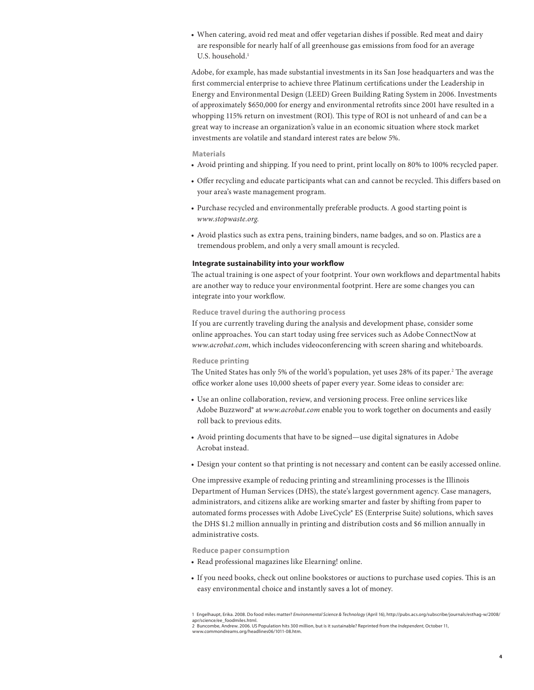• When catering, avoid red meat and offer vegetarian dishes if possible. Red meat and dairy are responsible for nearly half of all greenhouse gas emissions from food for an average U.S. household.<sup>1</sup>

Adobe, for example, has made substantial investments in its San Jose headquarters and was the first commercial enterprise to achieve three Platinum certifications under the Leadership in Energy and Environmental Design (LEED) Green Building Rating System in 2006. Investments of approximately \$650,000 for energy and environmental retrofits since 2001 have resulted in a whopping 115% return on investment (ROI). This type of ROI is not unheard of and can be a great way to increase an organization's value in an economic situation where stock market investments are volatile and standard interest rates are below 5%.

## **Materials**

- • Avoid printing and shipping. If you need to print, print locally on 80% to 100% recycled paper.
- • Offer recycling and educate participants what can and cannot be recycled. This differs based on your area's waste management program.
- Purchase recycled and environmentally preferable products. A good starting point is *www.stopwaste.org*.
- Avoid plastics such as extra pens, training binders, name badges, and so on. Plastics are a tremendous problem, and only a very small amount is recycled.

#### **Integrate sustainability into your workflow**

The actual training is one aspect of your footprint. Your own workflows and departmental habits are another way to reduce your environmental footprint. Here are some changes you can integrate into your workflow.

### **Reduce travel during the authoring process**

If you are currently traveling during the analysis and development phase, consider some online approaches. You can start today using free services such as Adobe ConnectNow at *www.acrobat.com*, which includes videoconferencing with screen sharing and whiteboards.

#### **Reduce printing**

The United States has only 5% of the world's population, yet uses 28% of its paper.<sup>2</sup> The average office worker alone uses 10,000 sheets of paper every year. Some ideas to consider are:

- • Use an online collaboration, review, and versioning process. Free online services like Adobe Buzzword® at *www.acrobat.com* enable you to work together on documents and easily roll back to previous edits.
- Avoid printing documents that have to be signed—use digital signatures in Adobe Acrobat instead.
- • Design your content so that printing is not necessary and content can be easily accessed online.

One impressive example of reducing printing and streamlining processes is the Illinois Department of Human Services (DHS), the state's largest government agency. Case managers, administrators, and citizens alike are working smarter and faster by shifting from paper to automated forms processes with Adobe LiveCycle® ES (Enterprise Suite) solutions, which saves the DHS \$1.2 million annually in printing and distribution costs and \$6 million annually in administrative costs.

**Reduce paper consumption**

- • Read professional magazines like Elearning! online.
- If you need books, check out online bookstores or auctions to purchase used copies. This is an easy environmental choice and instantly saves a lot of money.

<sup>1</sup> Engelhaupt, Erika. 2008. Do food miles matter? *Environmental Science & Technology* (April 16), http://pubs.acs.org/subscribe/journals/esthag-w/2008/ apr/science/ee\_foodmiles.html. 2 Buncombe, Andrew. 2006. US Population hits 300 million, but is it sustainable? Reprinted from the *Independent*, October 11,

www.commondreams.org/headlines06/1011-08.htm.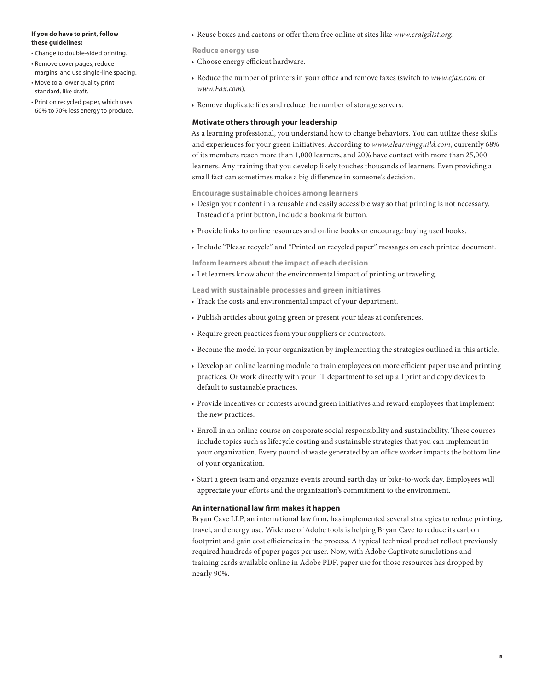#### **If you do have to print, follow these guidelines:**

- • Change to double-sided printing.
- • Remove cover pages, reduce margins, and use single-line spacing.
- • Move to a lower quality print standard, like draft.
- • Print on recycled paper, which uses 60% to 70% less energy to produce.

• Reuse boxes and cartons or offer them free online at sites like *www.craigslist.org*.

**Reduce energy use**

- • Choose energy efficient hardware.
- • Reduce the number of printers in your office and remove faxes (switch to *www.efax.com* or *www.Fax.com*).
- Remove duplicate files and reduce the number of storage servers.

## **Motivate others through your leadership**

As a learning professional, you understand how to change behaviors. You can utilize these skills and experiences for your green initiatives. According to *www.elearningguild.com*, currently 68% of its members reach more than 1,000 learners, and 20% have contact with more than 25,000 learners. Any training that you develop likely touches thousands of learners. Even providing a small fact can sometimes make a big difference in someone's decision.

**Encourage sustainable choices among learners**

- • Design your content in a reusable and easily accessible way so that printing is not necessary. Instead of a print button, include a bookmark button.
- Provide links to online resources and online books or encourage buying used books.
- • Include "Please recycle" and "Printed on recycled paper" messages on each printed document.

**Inform learners about the impact of each decision**

• Let learners know about the environmental impact of printing or traveling.

**Lead with sustainable processes and green initiatives**

- Track the costs and environmental impact of your department.
- • Publish articles about going green or present your ideas at conferences.
- Require green practices from your suppliers or contractors.
- • Become the model in your organization by implementing the strategies outlined in this article.
- Develop an online learning module to train employees on more efficient paper use and printing practices. Or work directly with your IT department to set up all print and copy devices to default to sustainable practices.
- Provide incentives or contests around green initiatives and reward employees that implement the new practices.
- • Enroll in an online course on corporate social responsibility and sustainability. These courses include topics such as lifecycle costing and sustainable strategies that you can implement in your organization. Every pound of waste generated by an office worker impacts the bottom line of your organization.
- Start a green team and organize events around earth day or bike-to-work day. Employees will appreciate your efforts and the organization's commitment to the environment.

## **An international law firm makes it happen**

Bryan Cave LLP, an international law firm, has implemented several strategies to reduce printing, travel, and energy use. Wide use of Adobe tools is helping Bryan Cave to reduce its carbon footprint and gain cost efficiencies in the process. A typical technical product rollout previously required hundreds of paper pages per user. Now, with Adobe Captivate simulations and training cards available online in Adobe PDF, paper use for those resources has dropped by nearly 90%.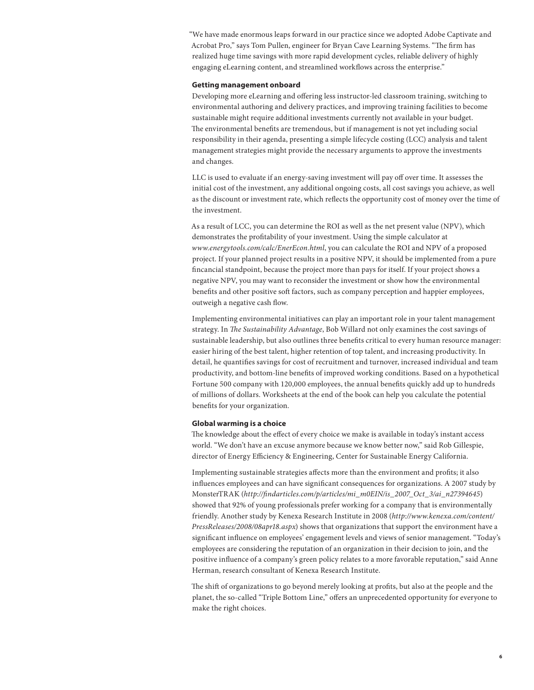"We have made enormous leaps forward in our practice since we adopted Adobe Captivate and Acrobat Pro," says Tom Pullen, engineer for Bryan Cave Learning Systems. "The firm has realized huge time savings with more rapid development cycles, reliable delivery of highly engaging eLearning content, and streamlined workflows across the enterprise."

## **Getting management onboard**

Developing more eLearning and offering less instructor-led classroom training, switching to environmental authoring and delivery practices, and improving training facilities to become sustainable might require additional investments currently not available in your budget. The environmental benefits are tremendous, but if management is not yet including social responsibility in their agenda, presenting a simple lifecycle costing (LCC) analysis and talent management strategies might provide the necessary arguments to approve the investments and changes.

LLC is used to evaluate if an energy-saving investment will pay off over time. It assesses the initial cost of the investment, any additional ongoing costs, all cost savings you achieve, as well as the discount or investment rate, which reflects the opportunity cost of money over the time of the investment.

As a result of LCC, you can determine the ROI as well as the net present value (NPV), which demonstrates the profitability of your investment. Using the simple calculator at *www.energytools.com/calc/EnerEcon.html*, you can calculate the ROI and NPV of a proposed project. If your planned project results in a positive NPV, it should be implemented from a pure fincancial standpoint, because the project more than pays for itself. If your project shows a negative NPV, you may want to reconsider the investment or show how the environmental benefits and other positive soft factors, such as company perception and happier employees, outweigh a negative cash flow.

Implementing environmental initiatives can play an important role in your talent management strategy. In *The Sustainability Advantage*, Bob Willard not only examines the cost savings of sustainable leadership, but also outlines three benefits critical to every human resource manager: easier hiring of the best talent, higher retention of top talent, and increasing productivity. In detail, he quantifies savings for cost of recruitment and turnover, increased individual and team productivity, and bottom-line benefits of improved working conditions. Based on a hypothetical Fortune 500 company with 120,000 employees, the annual benefits quickly add up to hundreds of millions of dollars. Worksheets at the end of the book can help you calculate the potential benefits for your organization.

## **Global warming is a choice**

The knowledge about the effect of every choice we make is available in today's instant access world. "We don't have an excuse anymore because we know better now," said Rob Gillespie, director of Energy Efficiency & Engineering, Center for Sustainable Energy California.

Implementing sustainable strategies affects more than the environment and profits; it also influences employees and can have significant consequences for organizations. A 2007 study by MonsterTRAK (*http://findarticles.com/p/articles/mi\_m0EIN/is\_2007\_Oct\_3/ai\_n27394645*) showed that 92% of young professionals prefer working for a company that is environmentally friendly. Another study by Kenexa Research Institute in 2008 (*http://www.kenexa.com/content/ PressReleases/2008/08apr18.aspx*) shows that organizations that support the environment have a significant influence on employees' engagement levels and views of senior management. "Today's employees are considering the reputation of an organization in their decision to join, and the positive influence of a company's green policy relates to a more favorable reputation," said Anne Herman, research consultant of Kenexa Research Institute.

The shift of organizations to go beyond merely looking at profits, but also at the people and the planet, the so-called "Triple Bottom Line," offers an unprecedented opportunity for everyone to make the right choices.